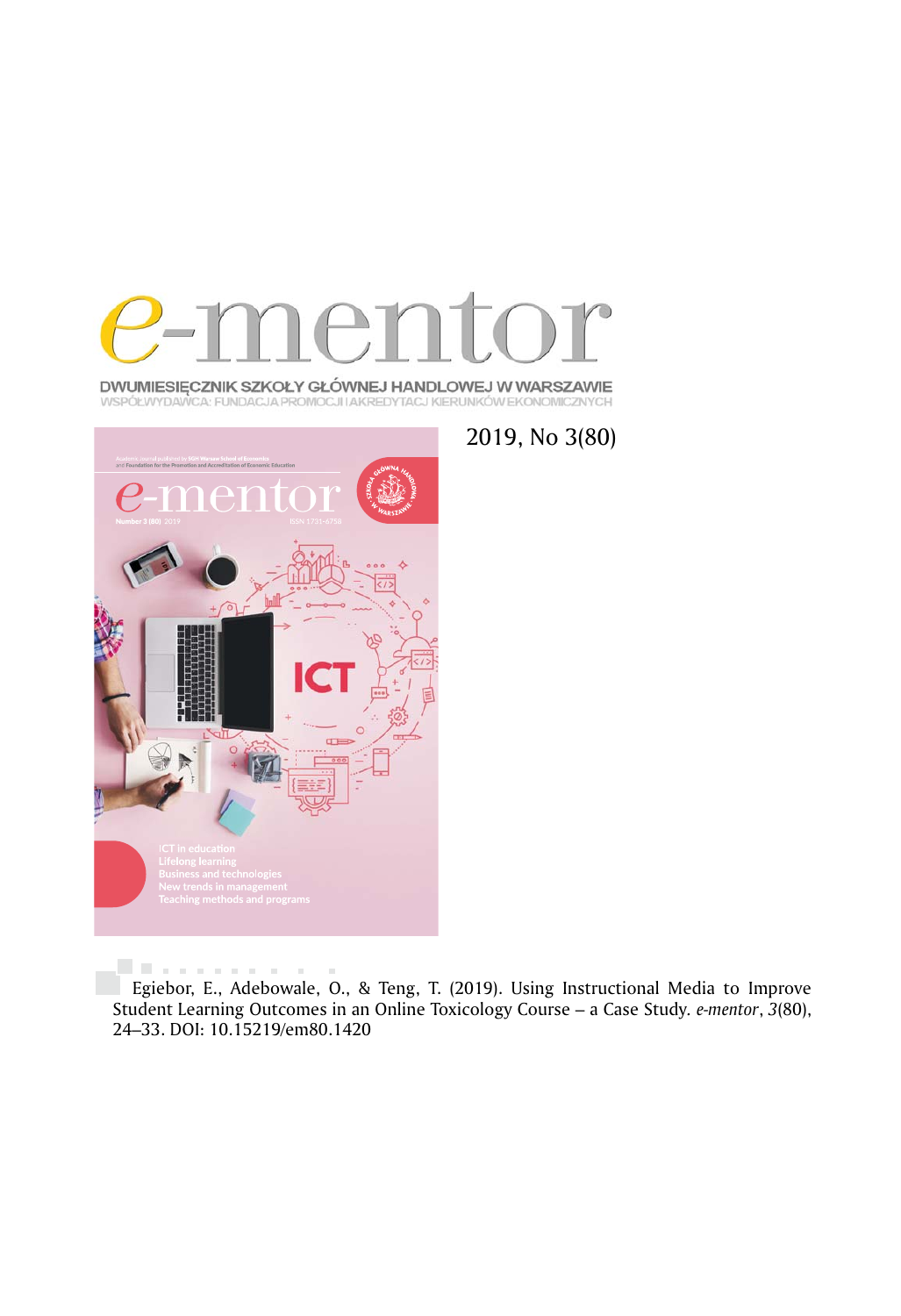

DWUMIESIĘCZNIK SZKOŁY GŁÓWNEJ HANDLOWEJ W WARSZAWIE WSPÓŁWYDAWCA: FUNDACJA PROMOCJI IAKREDYTACJ KIERUNKÓW EKONOMICZNYCH



2019, No 3(80)

Egiebor, E., Adebowale, O., & Teng, T. (2019). Using Instructional Media to Improve Student Learning Outcomes in an Online Toxicology Course – a Case Study*. e-mentor*, *3*(80), 24–33. DOI: 10.15219/em80.1420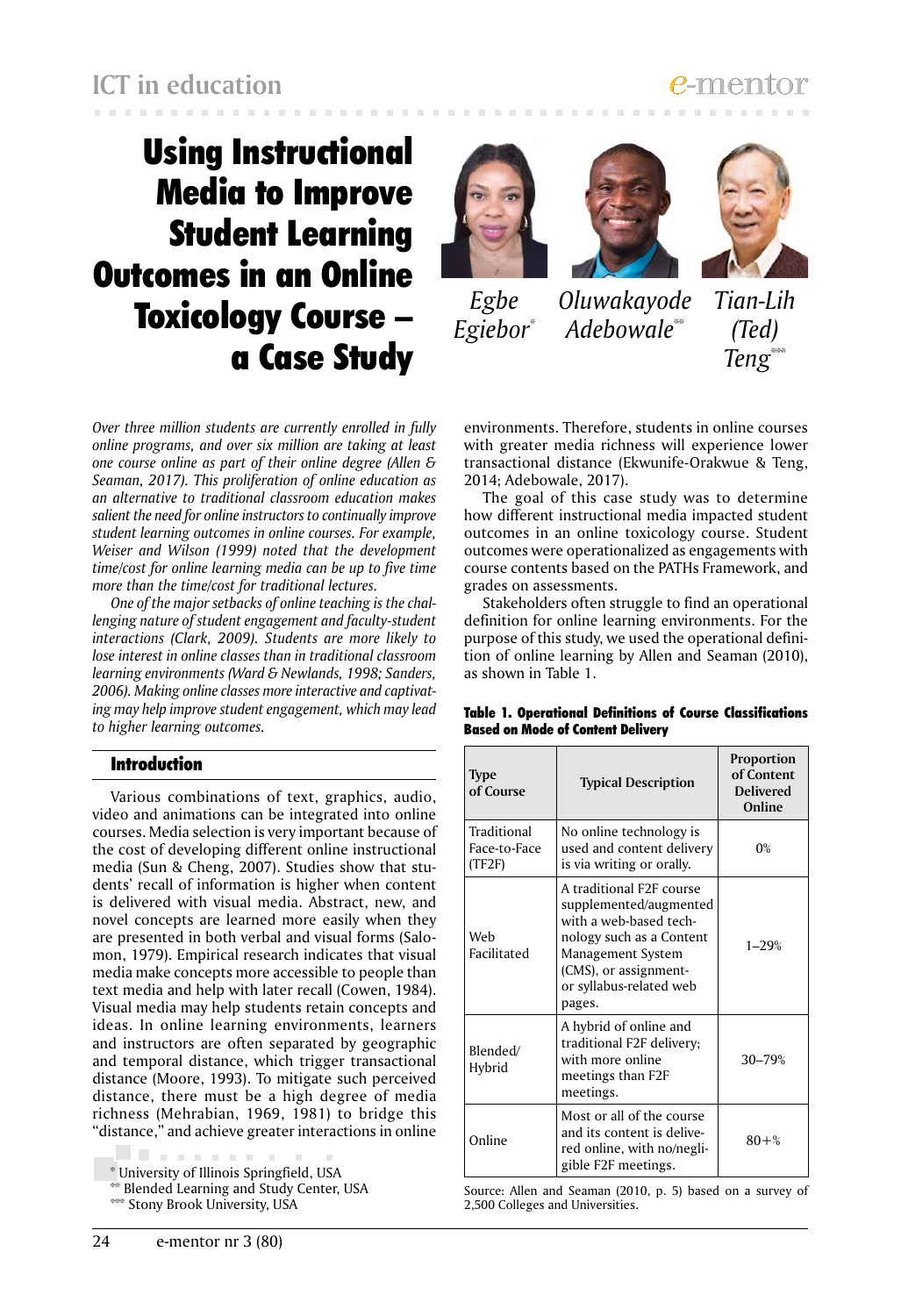# Using Instructional Media to Improve Student Learning Outcomes in an Online Toxicology Course – a Case Study







*Oluwakayode Adebowale*\*\* *Egiebor*\* *Egbe*



*Over three million students are currently enrolled in fully online programs, and over six million are taking at least one course online as part of their online degree (Allen & Seaman, 2017). This proliferation of online education as an alternative to traditional classroom education makes salient the need for online instructors to continually improve student learning outcomes in online courses. For example, Weiser and Wilson (1999) noted that the development time/cost for online learning media can be up to five time more than the time/cost for traditional lectures.*

*One of the major setbacks of online teaching is the challenging nature of student engagement and faculty-student interactions (Clark, 2009). Students are more likely to lose interest in online classes than in traditional classroom learning environments (Ward & Newlands, 1998; Sanders, 2006). Making online classes more interactive and captivating may help improve student engagement, which may lead to higher learning outcomes.*

### Introduction

Various combinations of text, graphics, audio, video and animations can be integrated into online courses. Media selection is very important because of the cost of developing different online instructional media (Sun & Cheng, 2007). Studies show that students' recall of information is higher when content is delivered with visual media. Abstract, new, and novel concepts are learned more easily when they are presented in both verbal and visual forms (Salomon, 1979). Empirical research indicates that visual media make concepts more accessible to people than text media and help with later recall (Cowen, 1984). Visual media may help students retain concepts and ideas. In online learning environments, learners and instructors are often separated by geographic and temporal distance, which trigger transactional distance (Moore, 1993). To mitigate such perceived distance, there must be a high degree of media richness (Mehrabian, 1969, 1981) to bridge this "distance," and achieve greater interactions in online

line and a \* University of Illinois Springfield, USA

\*\* Blended Learning and Study Center, USA

environments. Therefore, students in online courses with greater media richness will experience lower transactional distance (Ekwunife-Orakwue & Teng, 2014; Adebowale, 2017).

The goal of this case study was to determine how different instructional media impacted student outcomes in an online toxicology course. Student outcomes were operationalized as engagements with course contents based on the PATHs Framework, and grades on assessments.

Stakeholders often struggle to find an operational definition for online learning environments. For the purpose of this study, we used the operational definition of online learning by Allen and Seaman (2010), as shown in Table 1.

| <b>Type</b><br>of Course              | <b>Typical Description</b>                                                                                                                                                                  | <b>Proportion</b><br>of Content<br><b>Delivered</b><br>Online |
|---------------------------------------|---------------------------------------------------------------------------------------------------------------------------------------------------------------------------------------------|---------------------------------------------------------------|
| Traditional<br>Face-to-Face<br>(TF2F) | No online technology is<br>used and content delivery<br>is via writing or orally.                                                                                                           | $0\%$                                                         |
| Web<br>Facilitated                    | A traditional F2F course<br>supplemented/augmented<br>with a web-based tech-<br>nology such as a Content<br>Management System<br>(CMS), or assignment-<br>or syllabus-related web<br>pages. | $1 - 29%$                                                     |
| Blended/<br>Hybrid                    | A hybrid of online and<br>traditional F2F delivery;<br>with more online<br>meetings than F2F<br>meetings.                                                                                   | 30-79%                                                        |
| Online                                | Most or all of the course<br>and its content is delive-<br>red online, with no/negli-<br>gible F2F meetings.                                                                                | $80 + \%$                                                     |

Table 1. Operational Definitions of Course Classifications Based on Mode of Content Delivery

Source: Allen and Seaman (2010, p. 5) based on a survey of 2,500 Colleges and Universities.

<sup>\*\*\*</sup> Stony Brook University, USA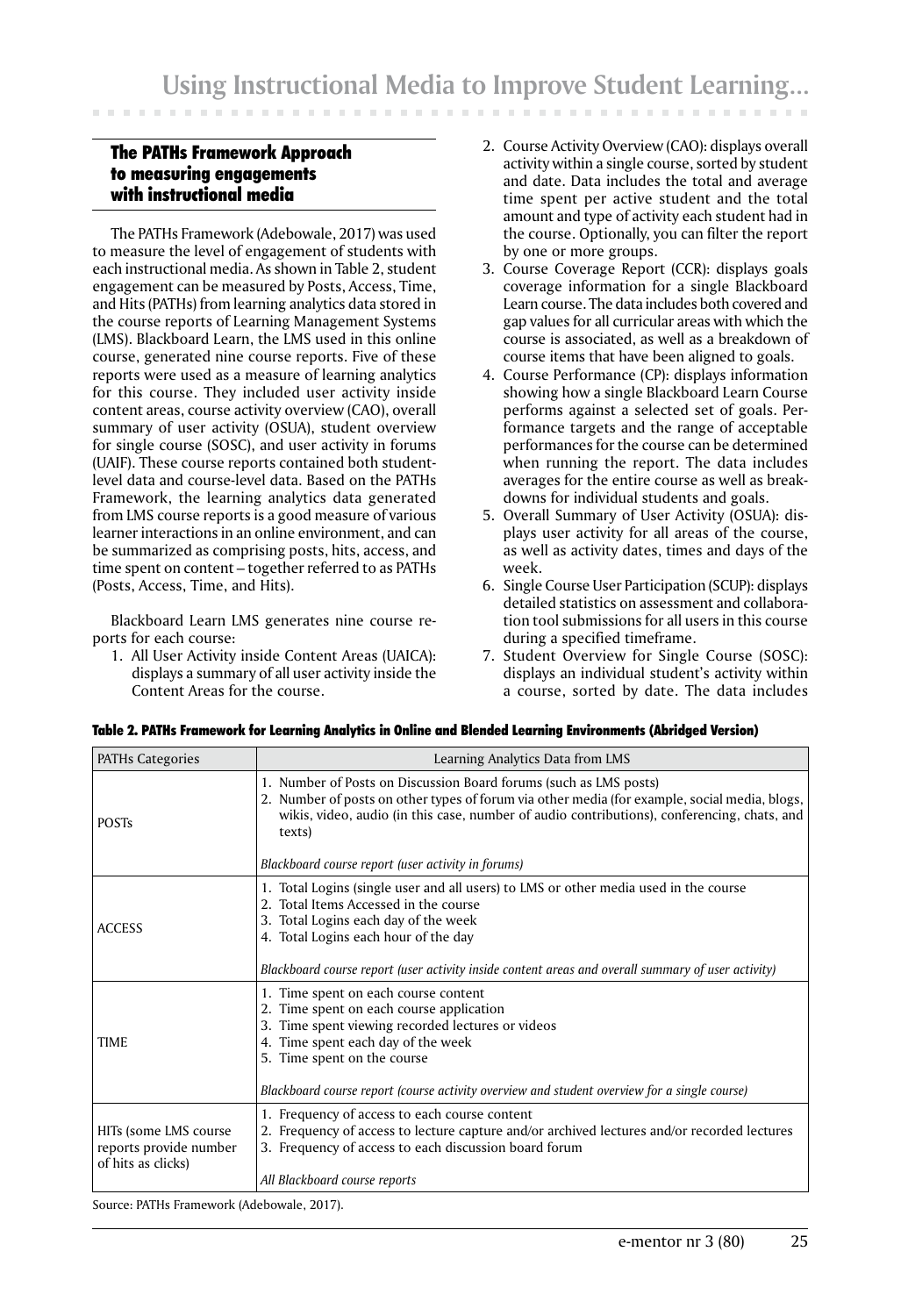### The PATHs Framework Approach to measuring engagements with instructional media

The PATHs Framework (Adebowale, 2017) was used to measure the level of engagement of students with each instructional media. As shown in Table 2, student engagement can be measured by Posts, Access, Time, and Hits (PATHs) from learning analytics data stored in the course reports of Learning Management Systems (LMS). Blackboard Learn, the LMS used in this online course, generated nine course reports. Five of these reports were used as a measure of learning analytics for this course. They included user activity inside content areas, course activity overview (CAO), overall summary of user activity (OSUA), student overview for single course (SOSC), and user activity in forums (UAIF). These course reports contained both studentlevel data and course-level data. Based on the PATHs Framework, the learning analytics data generated from LMS course reports is a good measure of various learner interactions in an online environment, and can be summarized as comprising posts, hits, access, and time spent on content – together referred to as PATHs (Posts, Access, Time, and Hits).

Blackboard Learn LMS generates nine course reports for each course:

1. All User Activity inside Content Areas (UAICA): displays a summary of all user activity inside the Content Areas for the course.

- 2. Course Activity Overview (CAO): displays overall activity within a single course, sorted by student and date. Data includes the total and average time spent per active student and the total amount and type of activity each student had in the course. Optionally, you can filter the report by one or more groups.
- 3. Course Coverage Report (CCR): displays goals coverage information for a single Blackboard Learn course. The data includes both covered and gap values for all curricular areas with which the course is associated, as well as a breakdown of course items that have been aligned to goals.
- 4. Course Performance (CP): displays information showing how a single Blackboard Learn Course performs against a selected set of goals. Performance targets and the range of acceptable performances for the course can be determined when running the report. The data includes averages for the entire course as well as breakdowns for individual students and goals.
- 5. Overall Summary of User Activity (OSUA): displays user activity for all areas of the course, as well as activity dates, times and days of the week.
- 6. Single Course User Participation (SCUP): displays detailed statistics on assessment and collaboration tool submissions for all users in this course during a specified timeframe.
- 7. Student Overview for Single Course (SOSC): displays an individual student's activity within a course, sorted by date. The data includes

| <b>PATHs Categories</b>                                               | Learning Analytics Data from LMS                                                                                                                                                                                                                                            |  |  |
|-----------------------------------------------------------------------|-----------------------------------------------------------------------------------------------------------------------------------------------------------------------------------------------------------------------------------------------------------------------------|--|--|
| <b>POSTs</b>                                                          | 1. Number of Posts on Discussion Board forums (such as LMS posts)<br>2. Number of posts on other types of forum via other media (for example, social media, blogs,<br>wikis, video, audio (in this case, number of audio contributions), conferencing, chats, and<br>texts) |  |  |
|                                                                       | Blackboard course report (user activity in forums)                                                                                                                                                                                                                          |  |  |
| <b>ACCESS</b>                                                         | 1. Total Logins (single user and all users) to LMS or other media used in the course<br>2. Total Items Accessed in the course<br>3. Total Logins each day of the week<br>4. Total Logins each hour of the day                                                               |  |  |
|                                                                       | Blackboard course report (user activity inside content areas and overall summary of user activity)                                                                                                                                                                          |  |  |
| <b>TIME</b>                                                           | 1. Time spent on each course content<br>2. Time spent on each course application<br>3. Time spent viewing recorded lectures or videos<br>4. Time spent each day of the week<br>5. Time spent on the course                                                                  |  |  |
|                                                                       | Blackboard course report (course activity overview and student overview for a single course)                                                                                                                                                                                |  |  |
| HITs (some LMS course<br>reports provide number<br>of hits as clicks) | 1. Frequency of access to each course content<br>2. Frequency of access to lecture capture and/or archived lectures and/or recorded lectures<br>3. Frequency of access to each discussion board forum                                                                       |  |  |
|                                                                       | All Blackboard course reports                                                                                                                                                                                                                                               |  |  |

|  | Table 2. PATHs Framework for Learning Analytics in Online and Blended Learning Environments (Abridged Version) |  |  |  |  |
|--|----------------------------------------------------------------------------------------------------------------|--|--|--|--|
|  |                                                                                                                |  |  |  |  |

Source: PATHs Framework (Adebowale, 2017).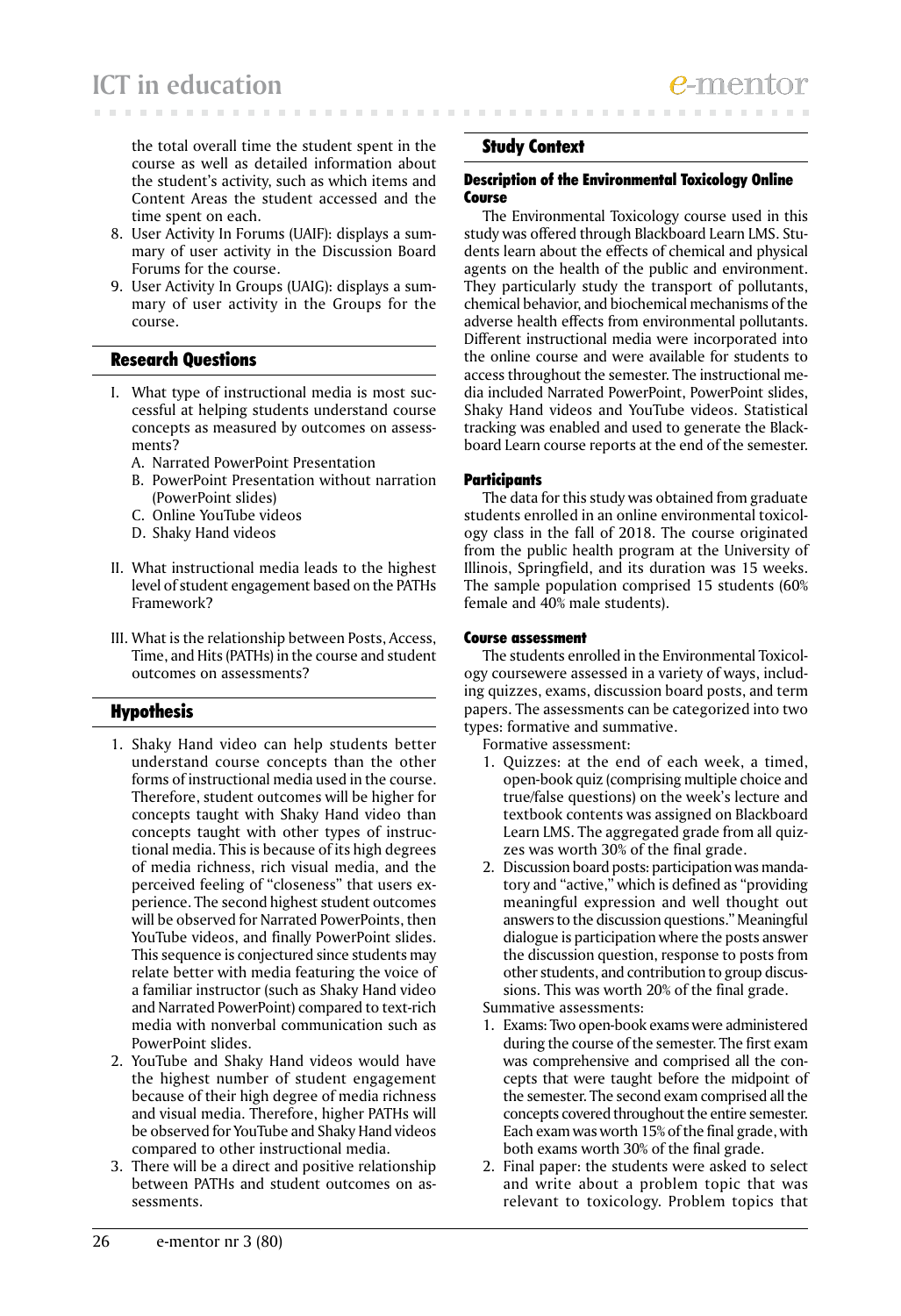the total overall time the student spent in the course as well as detailed information about the student's activity, such as which items and Content Areas the student accessed and the time spent on each.

- 8. User Activity In Forums (UAIF): displays a summary of user activity in the Discussion Board Forums for the course.
- 9. User Activity In Groups (UAIG): displays a summary of user activity in the Groups for the course.

### Research Questions

- I. What type of instructional media is most successful at helping students understand course concepts as measured by outcomes on assessments?
	- A. Narrated PowerPoint Presentation
	- B. PowerPoint Presentation without narration (PowerPoint slides)
	- C. Online YouTube videos
	- D. Shaky Hand videos
- II. What instructional media leads to the highest level of student engagement based on the PATHs Framework?
- III. What is the relationship between Posts, Access, Time, and Hits (PATHs) in the course and student outcomes on assessments?

## Hypothesis

- 1. Shaky Hand video can help students better understand course concepts than the other forms of instructional media used in the course. Therefore, student outcomes will be higher for concepts taught with Shaky Hand video than concepts taught with other types of instructional media. This is because of its high degrees of media richness, rich visual media, and the perceived feeling of "closeness" that users experience. The second highest student outcomes will be observed for Narrated PowerPoints, then YouTube videos, and finally PowerPoint slides. This sequence is conjectured since students may relate better with media featuring the voice of a familiar instructor (such as Shaky Hand video and Narrated PowerPoint) compared to text-rich media with nonverbal communication such as PowerPoint slides.
- 2. YouTube and Shaky Hand videos would have the highest number of student engagement because of their high degree of media richness and visual media. Therefore, higher PATHs will be observed for YouTube and Shaky Hand videos compared to other instructional media.
- 3. There will be a direct and positive relationship between PATHs and student outcomes on assessments.

### Study Context

### Description of the Environmental Toxicology Online Course

The Environmental Toxicology course used in this study was offered through Blackboard Learn LMS. Students learn about the effects of chemical and physical agents on the health of the public and environment. They particularly study the transport of pollutants, chemical behavior, and biochemical mechanisms of the adverse health effects from environmental pollutants. Different instructional media were incorporated into the online course and were available for students to access throughout the semester. The instructional media included Narrated PowerPoint, PowerPoint slides, Shaky Hand videos and YouTube videos. Statistical tracking was enabled and used to generate the Blackboard Learn course reports at the end of the semester.

### **Participants**

The data for this study was obtained from graduate students enrolled in an online environmental toxicology class in the fall of 2018. The course originated from the public health program at the University of Illinois, Springfield, and its duration was 15 weeks. The sample population comprised 15 students (60% female and 40% male students).

### Course assessment

The students enrolled in the Environmental Toxicology coursewere assessed in a variety of ways, including quizzes, exams, discussion board posts, and term papers. The assessments can be categorized into two types: formative and summative.

Formative assessment:

- 1. Quizzes: at the end of each week, a timed, open-book quiz (comprising multiple choice and true/false questions) on the week's lecture and textbook contents was assigned on Blackboard Learn LMS. The aggregated grade from all quizzes was worth 30% of the final grade.
- 2. Discussion board posts: participation was mandatory and "active," which is defined as "providing meaningful expression and well thought out answers to the discussion questions." Meaningful dialogue is participation where the posts answer the discussion question, response to posts from other students, and contribution to group discussions. This was worth 20% of the final grade.

Summative assessments:

- 1. Exams: Two open-book exams were administered during the course of the semester. The first exam was comprehensive and comprised all the concepts that were taught before the midpoint of the semester. The second exam comprised all the concepts covered throughout the entire semester. Each exam was worth 15% of the final grade, with both exams worth 30% of the final grade.
- 2. Final paper: the students were asked to select and write about a problem topic that was relevant to toxicology. Problem topics that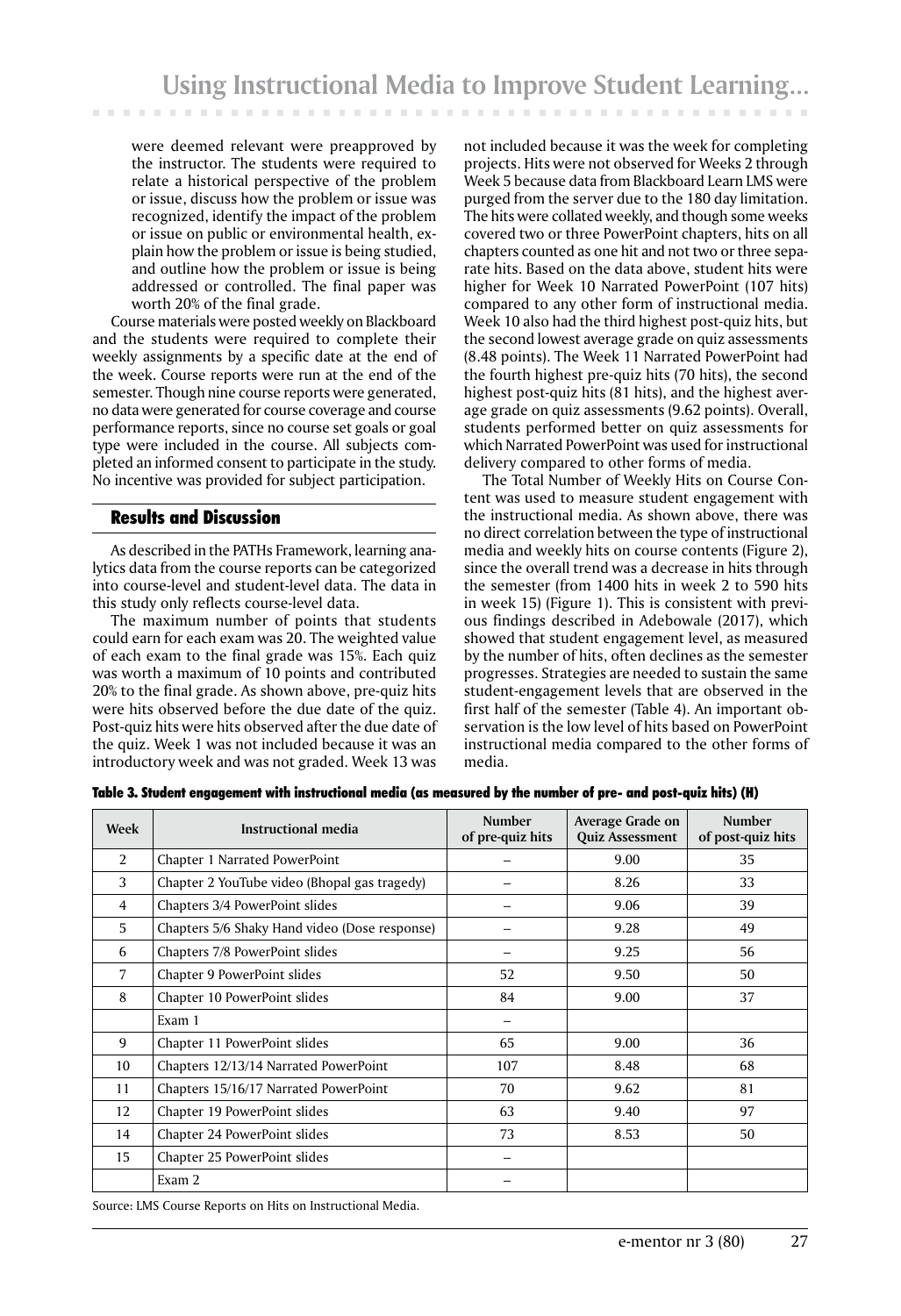were deemed relevant were preapproved by the instructor. The students were required to relate a historical perspective of the problem or issue, discuss how the problem or issue was recognized, identify the impact of the problem or issue on public or environmental health, explain how the problem or issue is being studied, and outline how the problem or issue is being addressed or controlled. The final paper was worth 20% of the final grade.

Course materials were posted weekly on Blackboard and the students were required to complete their weekly assignments by a specific date at the end of the week. Course reports were run at the end of the semester. Though nine course reports were generated, no data were generated for course coverage and course performance reports, since no course set goals or goal type were included in the course. All subjects completed an informed consent to participate in the study. No incentive was provided for subject participation.

### Results and Discussion

As described in the PATHs Framework, learning analytics data from the course reports can be categorized into course-level and student-level data. The data in this study only reflects course-level data.

The maximum number of points that students could earn for each exam was 20. The weighted value of each exam to the final grade was 15%. Each quiz was worth a maximum of 10 points and contributed 20% to the final grade. As shown above, pre-quiz hits were hits observed before the due date of the quiz. Post-quiz hits were hits observed after the due date of the quiz. Week 1 was not included because it was an introductory week and was not graded. Week 13 was

not included because it was the week for completing projects. Hits were not observed for Weeks 2 through Week 5 because data from Blackboard Learn LMS were purged from the server due to the 180 day limitation. The hits were collated weekly, and though some weeks covered two or three PowerPoint chapters, hits on all chapters counted as one hit and not two or three separate hits. Based on the data above, student hits were higher for Week 10 Narrated PowerPoint (107 hits) compared to any other form of instructional media. Week 10 also had the third highest post-quiz hits, but the second lowest average grade on quiz assessments (8.48 points). The Week 11 Narrated PowerPoint had the fourth highest pre-quiz hits (70 hits), the second highest post-quiz hits (81 hits), and the highest average grade on quiz assessments (9.62 points). Overall, students performed better on quiz assessments for which Narrated PowerPoint was used for instructional delivery compared to other forms of media.

The Total Number of Weekly Hits on Course Content was used to measure student engagement with the instructional media. As shown above, there was no direct correlation between the type of instructional media and weekly hits on course contents (Figure 2), since the overall trend was a decrease in hits through the semester (from 1400 hits in week 2 to 590 hits in week 15) (Figure 1). This is consistent with previous findings described in Adebowale (2017), which showed that student engagement level, as measured by the number of hits, often declines as the semester progresses. Strategies are needed to sustain the same student-engagement levels that are observed in the first half of the semester (Table 4). An important observation is the low level of hits based on PowerPoint instructional media compared to the other forms of media.

**Week** Instructional media **of pre-quiz hits Average Grade on Quiz Assessment Number of post-quiz hits** 2 Chapter 1 Narrated PowerPoint – 9.00 35 3 Chapter 2 YouTube video (Bhopal gas tragedy) – 8.26 33 4 Chapters 3/4 PowerPoint slides – 9.06 39 5 Chapters 5/6 Shaky Hand video (Dose response) – 9.28 49 6 Chapters 7/8 PowerPoint slides – 9.25 56 7 Chapter 9 PowerPoint slides 52 9.50 50 8 | Chapter 10 PowerPoint slides | 84 | 9.00 | 37 Exam 1 – 9 Chapter 11 PowerPoint slides 65 9.00 36 10 | Chapters 12/13/14 Narrated PowerPoint | 107 | 8.48 | 68 11 | Chapters 15/16/17 Narrated PowerPoint | 70 | 9.62 | 81 12 Chapter 19 PowerPoint slides 63 9.40 97 14 Chapter 24 PowerPoint slides 1 73 8.53 50 15 Chapter 25 PowerPoint slides – Exam 2 **– Exam 2** – **Figure 2** – **Figure 2** – **Figure 2** – **Figure 2** – **Figure 2** – **Figure 2** – **Figure 2** – **Figure 2** – **Figure 2** – **Figure 2** – **Figure 2** – **Figure 2** – **Figure 2** – **Figure 2** – **Figure 2** – **Figure** 

Table 3. Student engagement with instructional media (as measured by the number of pre- and post-quiz hits) (H)

Source: LMS Course Reports on Hits on Instructional Media.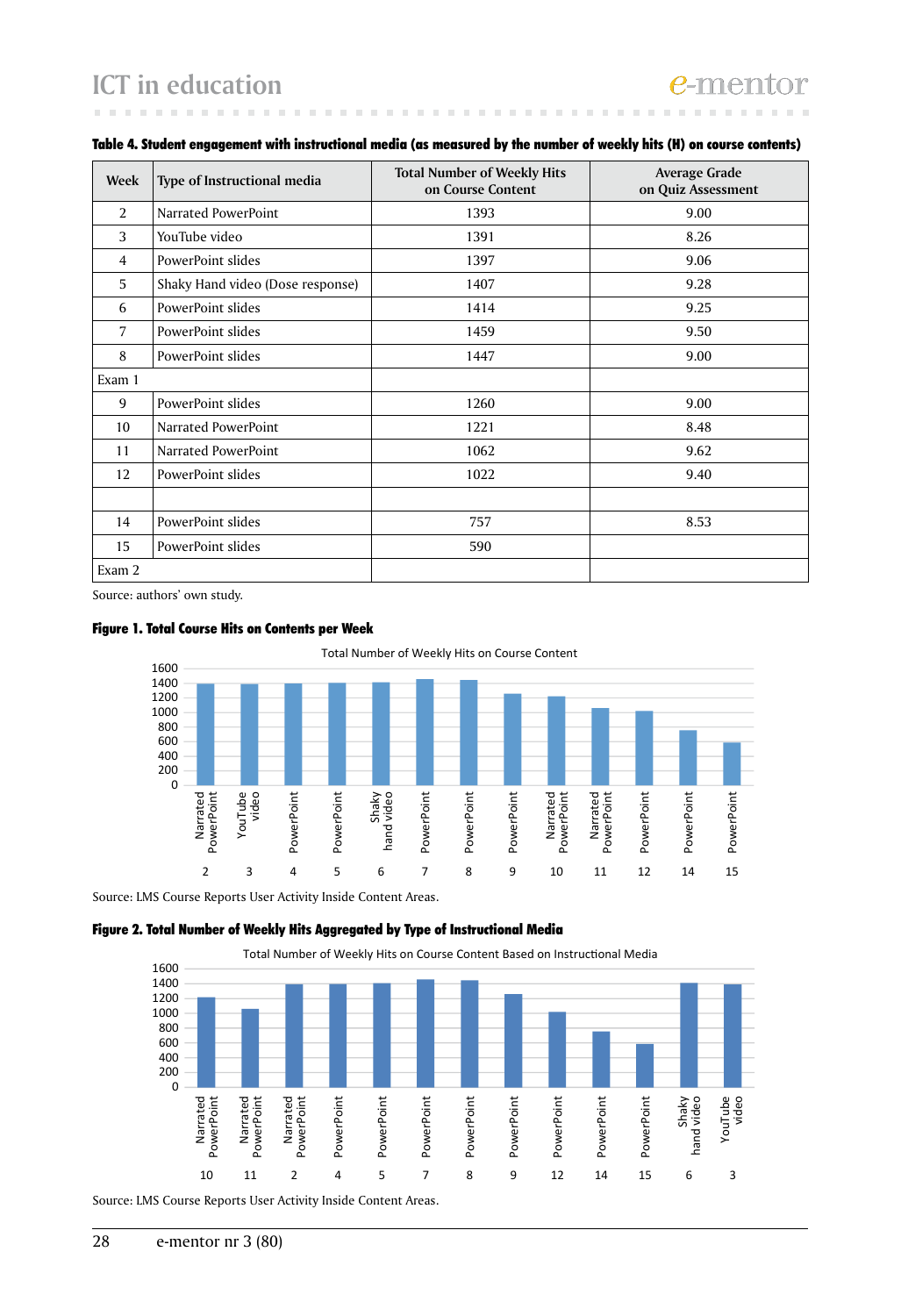## **ICT in education**

| Week           | Type of Instructional media      | <b>Total Number of Weekly Hits</b><br>on Course Content | <b>Average Grade</b><br>on Quiz Assessment |
|----------------|----------------------------------|---------------------------------------------------------|--------------------------------------------|
| $\overline{2}$ | Narrated PowerPoint              | 1393                                                    | 9.00                                       |
| 3              | YouTube video                    | 1391                                                    | 8.26                                       |
| 4              | PowerPoint slides                | 1397                                                    | 9.06                                       |
| 5              | Shaky Hand video (Dose response) | 1407                                                    | 9.28                                       |
| 6              | PowerPoint slides                | 1414                                                    | 9.25                                       |
| 7              | PowerPoint slides                | 1459                                                    | 9.50                                       |
| 8              | PowerPoint slides                | 1447                                                    | 9.00                                       |
| Exam 1         |                                  |                                                         |                                            |
| 9              | PowerPoint slides                | 1260                                                    | 9.00                                       |
| 10             | Narrated PowerPoint              | 1221                                                    | 8.48                                       |
| 11             | Narrated PowerPoint              | 1062                                                    | 9.62                                       |
| 12             | PowerPoint slides                | 1022                                                    | 9.40                                       |
|                |                                  |                                                         |                                            |
| 14             | PowerPoint slides                | 757                                                     | 8.53                                       |
| 15             | PowerPoint slides                | 590                                                     |                                            |
| Exam 2         |                                  |                                                         |                                            |

### Table 4. Student engagement with instructional media (as measured by the number of weekly hits (H) on course contents)

Source: authors' own study.





Source: LMS Course Reports User Activity Inside Content Areas.

### Figure 2. Total Number of Weekly Hits Aggregated by Type of Instructional Media



Source: LMS Course Reports User Activity Inside Content Areas.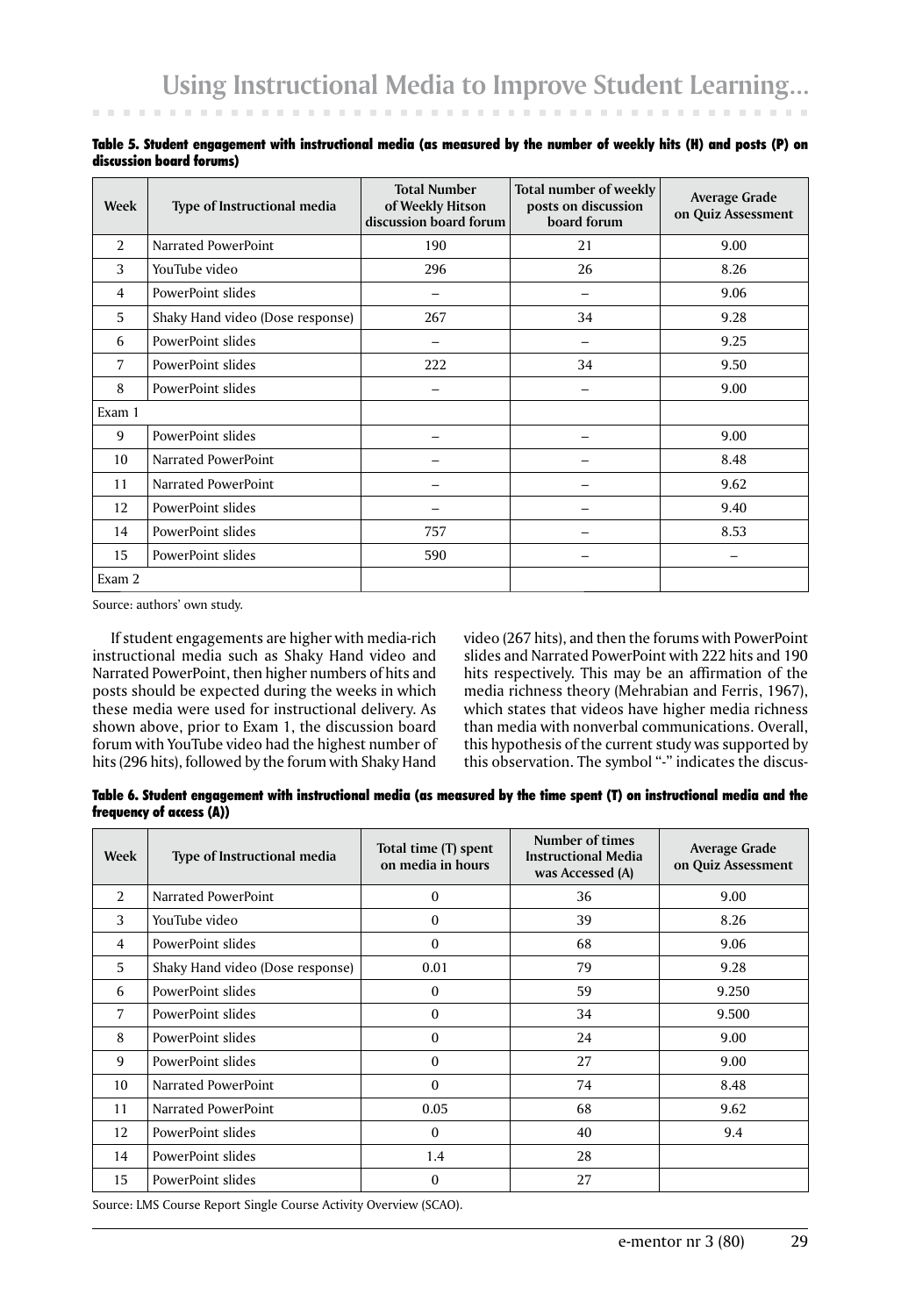| Week           | <b>Type of Instructional media</b> | <b>Total Number</b><br>of Weekly Hitson<br>discussion board forum | Total number of weekly<br>posts on discussion<br>board forum | <b>Average Grade</b><br>on Quiz Assessment |
|----------------|------------------------------------|-------------------------------------------------------------------|--------------------------------------------------------------|--------------------------------------------|
| 2              | Narrated PowerPoint                | 190                                                               | 21                                                           | 9.00                                       |
| 3              | YouTube video                      | 296                                                               | 26                                                           | 8.26                                       |
| $\overline{4}$ | PowerPoint slides                  |                                                                   |                                                              | 9.06                                       |
| 5              | Shaky Hand video (Dose response)   | 267                                                               | 34                                                           | 9.28                                       |
| 6              | PowerPoint slides                  |                                                                   |                                                              | 9.25                                       |
| 7              | PowerPoint slides                  | 222                                                               | 34                                                           | 9.50                                       |
| 8              | PowerPoint slides                  |                                                                   |                                                              | 9.00                                       |
| Exam 1         |                                    |                                                                   |                                                              |                                            |
| 9              | PowerPoint slides                  |                                                                   |                                                              | 9.00                                       |
| 10             | Narrated PowerPoint                |                                                                   |                                                              | 8.48                                       |
| 11             | Narrated PowerPoint                |                                                                   |                                                              | 9.62                                       |
| 12             | PowerPoint slides                  |                                                                   |                                                              | 9.40                                       |
| 14             | PowerPoint slides                  | 757                                                               |                                                              | 8.53                                       |
| 15             | PowerPoint slides                  | 590                                                               |                                                              |                                            |
| Exam 2         |                                    |                                                                   |                                                              |                                            |

Table 5. Student engagement with instructional media (as measured by the number of weekly hits (H) and posts (P) on discussion board forums)

Source: authors' own study.

If student engagements are higher with media-rich instructional media such as Shaky Hand video and Narrated PowerPoint, then higher numbers of hits and posts should be expected during the weeks in which these media were used for instructional delivery. As shown above, prior to Exam 1, the discussion board forum with YouTube video had the highest number of hits (296 hits), followed by the forum with Shaky Hand

video (267 hits), and then the forums with PowerPoint slides and Narrated PowerPoint with 222 hits and 190 hits respectively. This may be an affirmation of the media richness theory (Mehrabian and Ferris, 1967), which states that videos have higher media richness than media with nonverbal communications. Overall, this hypothesis of the current study was supported by this observation. The symbol "-" indicates the discus-

Table 6. Student engagement with instructional media (as measured by the time spent (T) on instructional media and the frequency of access (A))

| Week | Type of Instructional media      | Total time (T) spent<br>on media in hours | Number of times<br><b>Instructional Media</b><br>was Accessed (A) | Average Grade<br>on Quiz Assessment |
|------|----------------------------------|-------------------------------------------|-------------------------------------------------------------------|-------------------------------------|
| 2    | Narrated PowerPoint              | $\theta$                                  | 36                                                                | 9.00                                |
| 3    | YouTube video                    | $\Omega$                                  | 39                                                                | 8.26                                |
| 4    | PowerPoint slides                | 0                                         | 68                                                                | 9.06                                |
| 5    | Shaky Hand video (Dose response) | 0.01                                      | 79                                                                | 9.28                                |
| 6    | PowerPoint slides                | $\theta$                                  | 59                                                                | 9.250                               |
| 7    | PowerPoint slides                | $\Omega$                                  | 34                                                                | 9.500                               |
| 8    | PowerPoint slides                | 0                                         | 24                                                                | 9.00                                |
| 9    | PowerPoint slides                | 0                                         | 27                                                                | 9.00                                |
| 10   | Narrated PowerPoint              | $\Omega$                                  | 74                                                                | 8.48                                |
| 11   | Narrated PowerPoint              | 0.05                                      | 68                                                                | 9.62                                |
| 12   | PowerPoint slides                | $\Omega$                                  | 40                                                                | 9.4                                 |
| 14   | PowerPoint slides                | 1.4                                       | 28                                                                |                                     |
| 15   | PowerPoint slides                | $\Omega$                                  | 27                                                                |                                     |

Source: LMS Course Report Single Course Activity Overview (SCAO).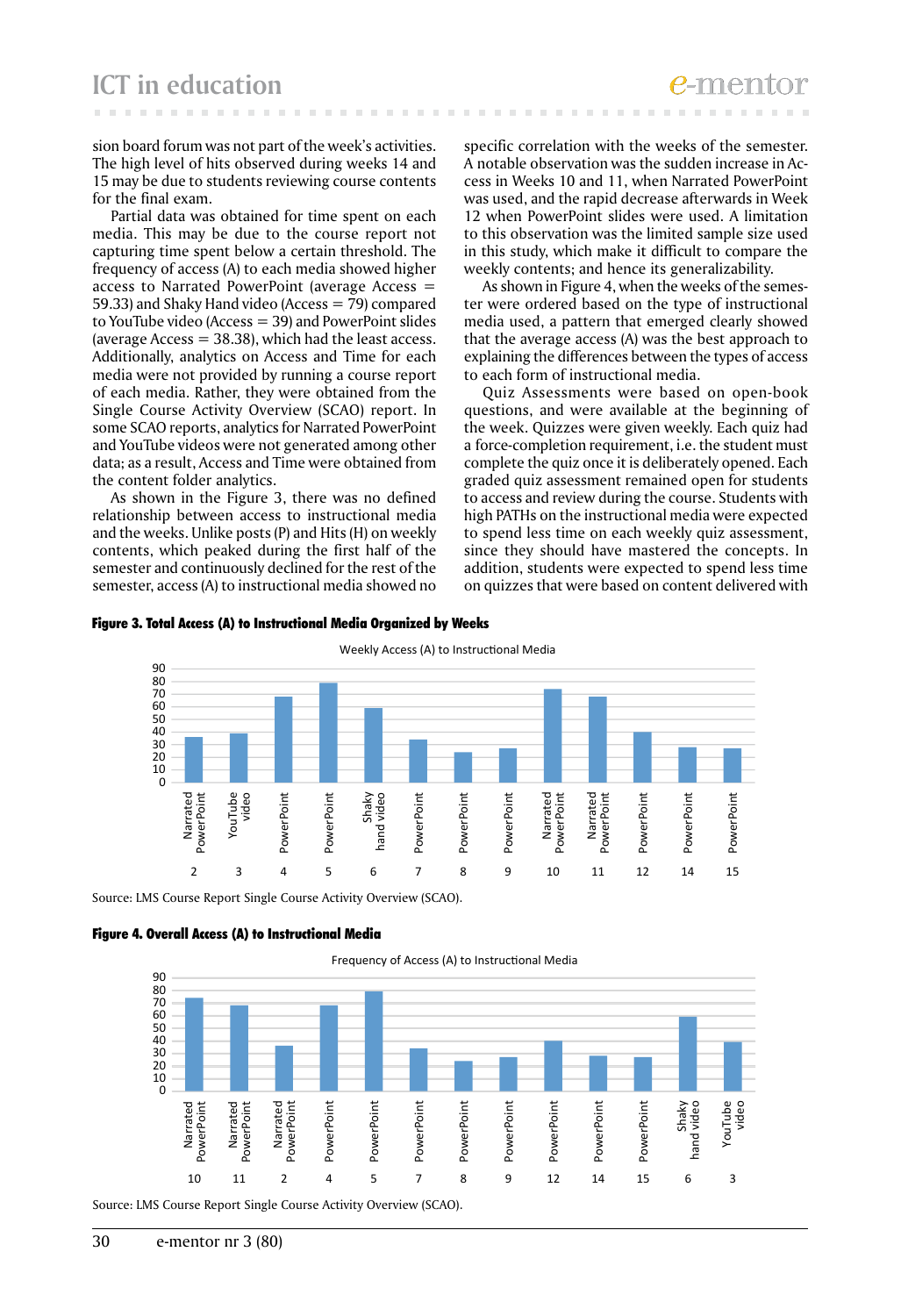**ICT in education**

sion board forum was not part of the week's activities. The high level of hits observed during weeks 14 and 15 may be due to students reviewing course contents for the final exam.

Partial data was obtained for time spent on each media. This may be due to the course report not capturing time spent below a certain threshold. The frequency of access (A) to each media showed higher access to Narrated PowerPoint (average Access = 59.33) and Shaky Hand video (Access = 79) compared to YouTube video (Access = 39) and PowerPoint slides (average  $Access = 38.38$ ), which had the least access. Additionally, analytics on Access and Time for each media were not provided by running a course report of each media. Rather, they were obtained from the Single Course Activity Overview (SCAO) report. In some SCAO reports, analytics for Narrated PowerPoint and YouTube videos were not generated among other data; as a result, Access and Time were obtained from the content folder analytics.

As shown in the Figure 3, there was no defined relationship between access to instructional media and the weeks. Unlike posts (P) and Hits (H) on weekly contents, which peaked during the first half of the semester and continuously declined for the rest of the semester, access (A) to instructional media showed no

specific correlation with the weeks of the semester. A notable observation was the sudden increase in Access in Weeks 10 and 11, when Narrated PowerPoint was used, and the rapid decrease afterwards in Week 12 when PowerPoint slides were used. A limitation to this observation was the limited sample size used in this study, which make it difficult to compare the weekly contents; and hence its generalizability.

As shown in Figure 4, when the weeks of the semester were ordered based on the type of instructional media used, a pattern that emerged clearly showed that the average access (A) was the best approach to explaining the differences between the types of access to each form of instructional media.

Quiz Assessments were based on open-book questions, and were available at the beginning of the week. Quizzes were given weekly. Each quiz had a force-completion requirement, i.e. the student must complete the quiz once it is deliberately opened. Each graded quiz assessment remained open for students to access and review during the course. Students with high PATHs on the instructional media were expected to spend less time on each weekly quiz assessment, since they should have mastered the concepts. In addition, students were expected to spend less time on quizzes that were based on content delivered with





Source: LMS Course Report Single Course Activity Overview (SCAO).



Frequency of Access (A) to Instructional Media 90  $80$ 70 60 50 40 30  $20$ 10 0 Narrated<br>PowerPoint Shaky<br>hand video YouTube Narrated PowerPoint PowerPoint PowerPoint Narrated<br>PowerPoint PowerPoint PowerPoint PowerPoint PowerPoint PowerPoint PowerPoint PowerPoint PowerPoint PowerPoint PowerPoint PowerPoint PowerPoint PowerPoint PowerPoint PowerPoint PowerPoint hand video video PowerPoint 10 11 2 4 5 7 8 9 12 14 15 6 3 Source: LMS Course Report Single Course Activity Overview (SCAO).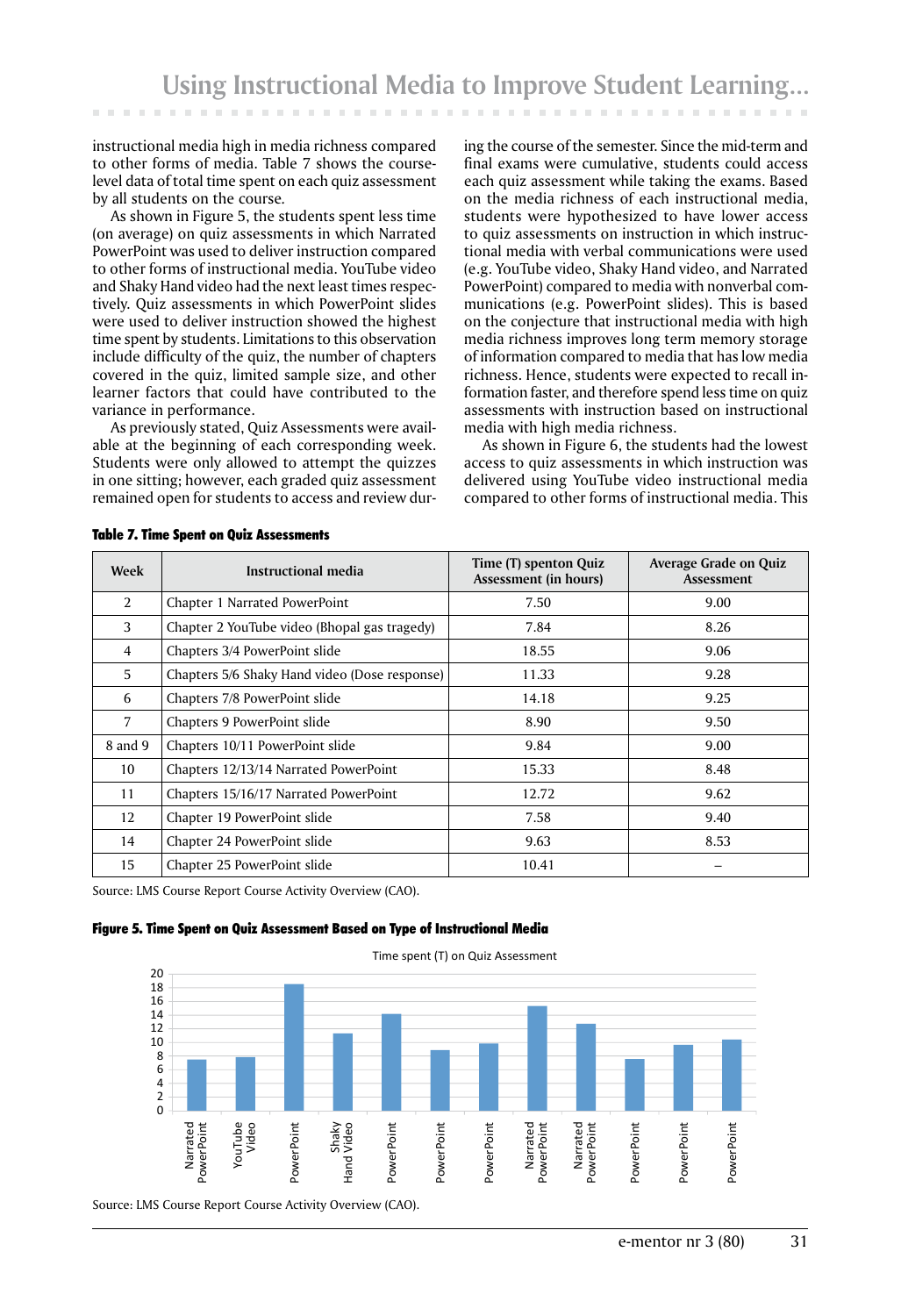instructional media high in media richness compared to other forms of media. Table 7 shows the courselevel data of total time spent on each quiz assessment by all students on the course*.*

As shown in Figure 5, the students spent less time (on average) on quiz assessments in which Narrated PowerPoint was used to deliver instruction compared to other forms of instructional media. YouTube video and Shaky Hand video had the next least times respectively. Quiz assessments in which PowerPoint slides were used to deliver instruction showed the highest time spent by students. Limitations to this observation include difficulty of the quiz, the number of chapters covered in the quiz, limited sample size, and other learner factors that could have contributed to the variance in performance.

As previously stated, Quiz Assessments were available at the beginning of each corresponding week. Students were only allowed to attempt the quizzes in one sitting; however, each graded quiz assessment remained open for students to access and review during the course of the semester. Since the mid-term and final exams were cumulative, students could access each quiz assessment while taking the exams. Based on the media richness of each instructional media, students were hypothesized to have lower access to quiz assessments on instruction in which instructional media with verbal communications were used (e.g. YouTube video, Shaky Hand video, and Narrated PowerPoint) compared to media with nonverbal communications (e.g. PowerPoint slides). This is based on the conjecture that instructional media with high media richness improves long term memory storage of information compared to media that has low media richness. Hence, students were expected to recall information faster, and therefore spend less time on quiz assessments with instruction based on instructional media with high media richness.

As shown in Figure 6, the students had the lowest access to quiz assessments in which instruction was delivered using YouTube video instructional media compared to other forms of instructional media. This

| Week           | Instructional media                           | Time (T) spenton Quiz<br>Assessment (in hours) | Average Grade on Quiz<br>Assessment |
|----------------|-----------------------------------------------|------------------------------------------------|-------------------------------------|
| $\overline{2}$ | Chapter 1 Narrated PowerPoint                 | 7.50                                           | 9.00                                |
| 3              | Chapter 2 YouTube video (Bhopal gas tragedy)  | 7.84                                           | 8.26                                |
| 4              | Chapters 3/4 PowerPoint slide                 | 18.55                                          | 9.06                                |
| 5.             | Chapters 5/6 Shaky Hand video (Dose response) | 11.33                                          | 9.28                                |
| 6              | Chapters 7/8 PowerPoint slide                 | 14.18                                          | 9.25                                |
| $\overline{7}$ | Chapters 9 PowerPoint slide                   | 8.90                                           | 9.50                                |
| 8 and 9        | Chapters 10/11 PowerPoint slide               | 9.84                                           | 9.00                                |
| 10             | Chapters 12/13/14 Narrated PowerPoint         | 15.33                                          | 8.48                                |
| 11             | Chapters 15/16/17 Narrated PowerPoint         | 12.72                                          | 9.62                                |
| 12             | Chapter 19 PowerPoint slide                   | 7.58                                           | 9.40                                |
| 14             | Chapter 24 PowerPoint slide                   | 9.63                                           | 8.53                                |
| 15             | Chapter 25 PowerPoint slide                   | 10.41                                          |                                     |

Table 7. Time Spent on Quiz Assessments

Source: LMS Course Report Course Activity Overview (CAO).

### Figure 5. Time Spent on Quiz Assessment Based on Type of Instructional Media

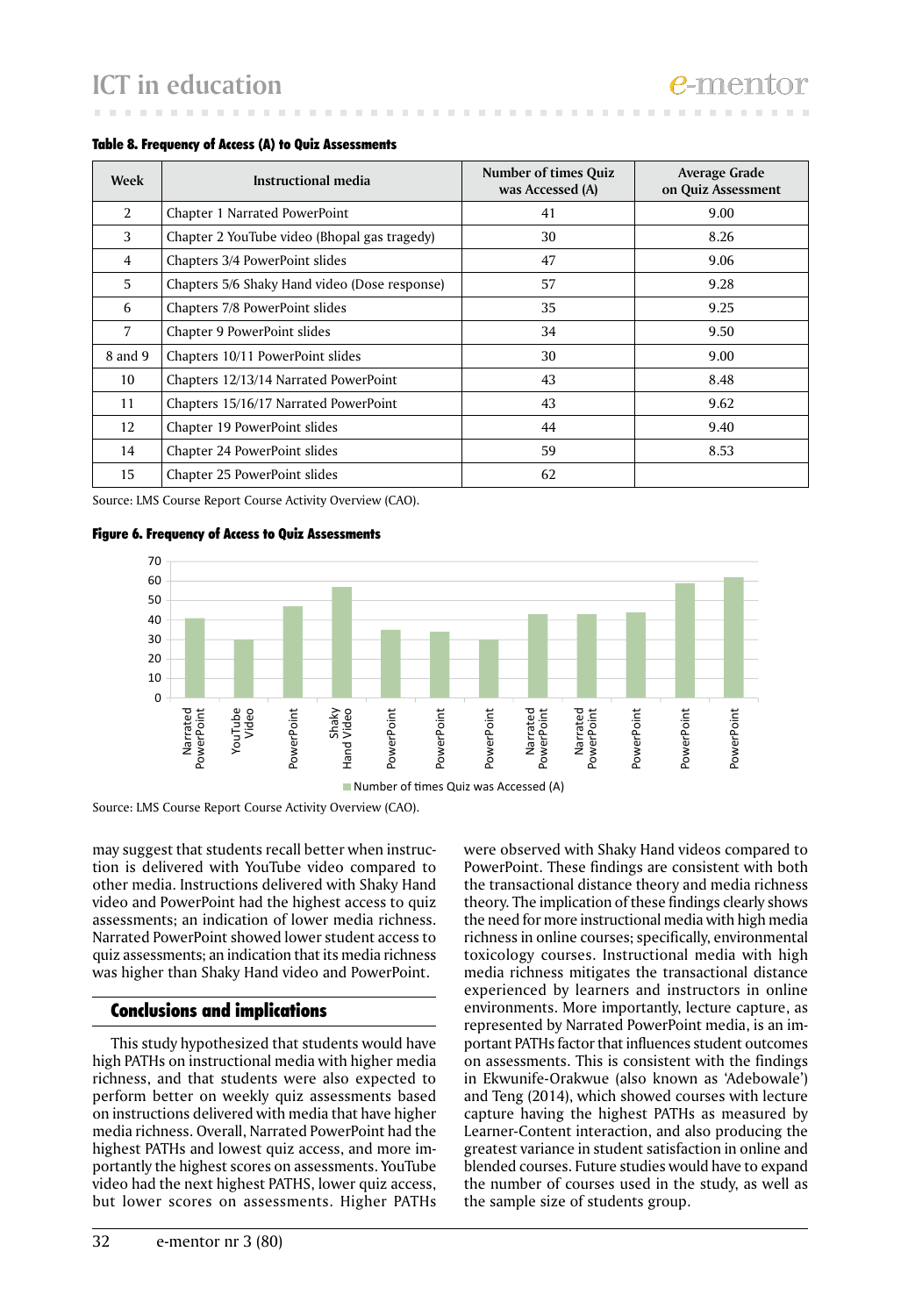| Week           | Instructional media                           | <b>Number of times Quiz</b><br>was Accessed (A) | Average Grade<br>on Quiz Assessment |
|----------------|-----------------------------------------------|-------------------------------------------------|-------------------------------------|
| $\mathcal{L}$  | Chapter 1 Narrated PowerPoint                 | 41                                              | 9.00                                |
| 3              | Chapter 2 YouTube video (Bhopal gas tragedy)  | 30                                              | 8.26                                |
| $\overline{4}$ | Chapters 3/4 PowerPoint slides                | 47                                              | 9.06                                |
| 5              | Chapters 5/6 Shaky Hand video (Dose response) | 57                                              | 9.28                                |
| 6              | Chapters 7/8 PowerPoint slides                | 35                                              | 9.25                                |
| 7              | Chapter 9 PowerPoint slides                   | 34                                              | 9.50                                |
| 8 and 9        | Chapters 10/11 PowerPoint slides              | 30                                              | 9.00                                |
| 10             | Chapters 12/13/14 Narrated PowerPoint         | 43                                              | 8.48                                |
| 11             | Chapters 15/16/17 Narrated PowerPoint         | 43                                              | 9.62                                |
| 12             | Chapter 19 PowerPoint slides                  | 44                                              | 9.40                                |
| 14             | Chapter 24 PowerPoint slides                  | 59                                              | 8.53                                |
| 15             | Chapter 25 PowerPoint slides                  | 62                                              |                                     |

### Table 8. Frequency of Access (A) to Quiz Assessments

Source: LMS Course Report Course Activity Overview (CAO).

### Figure 6. Frequency of Access to Quiz Assessments





Source: LMS Course Report Course Activity Overview (CAO).

may suggest that students recall better when instruction is delivered with YouTube video compared to other media. Instructions delivered with Shaky Hand video and PowerPoint had the highest access to quiz assessments; an indication of lower media richness. Narrated PowerPoint showed lower student access to quiz assessments; an indication that its media richness was higher than Shaky Hand video and PowerPoint.

### Conclusions and implications

This study hypothesized that students would have high PATHs on instructional media with higher media richness, and that students were also expected to perform better on weekly quiz assessments based on instructions delivered with media that have higher media richness. Overall, Narrated PowerPoint had the highest PATHs and lowest quiz access, and more importantly the highest scores on assessments. YouTube video had the next highest PATHS, lower quiz access, but lower scores on assessments. Higher PATHs

were observed with Shaky Hand videos compared to PowerPoint. These findings are consistent with both the transactional distance theory and media richness theory. The implication of these findings clearly shows the need for more instructional media with high media richness in online courses; specifically, environmental toxicology courses. Instructional media with high media richness mitigates the transactional distance experienced by learners and instructors in online environments. More importantly, lecture capture, as represented by Narrated PowerPoint media, is an important PATHs factor that influences student outcomes on assessments. This is consistent with the findings in Ekwunife-Orakwue (also known as 'Adebowale') and Teng (2014), which showed courses with lecture capture having the highest PATHs as measured by Learner-Content interaction, and also producing the greatest variance in student satisfaction in online and blended courses. Future studies would have to expand the number of courses used in the study, as well as the sample size of students group.

e-ment